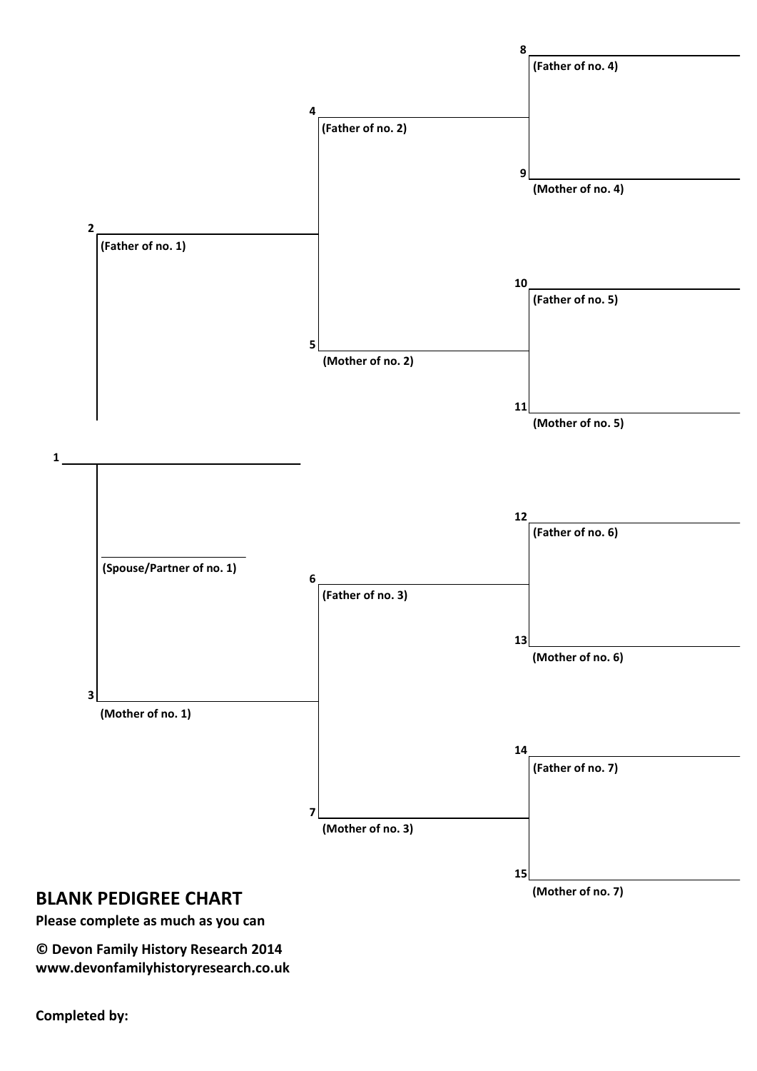

**Please complete as much as you can**

**© Devon Family History Research 2014 www.devonfamilyhistoryresearch.co.uk**

**Completed by:**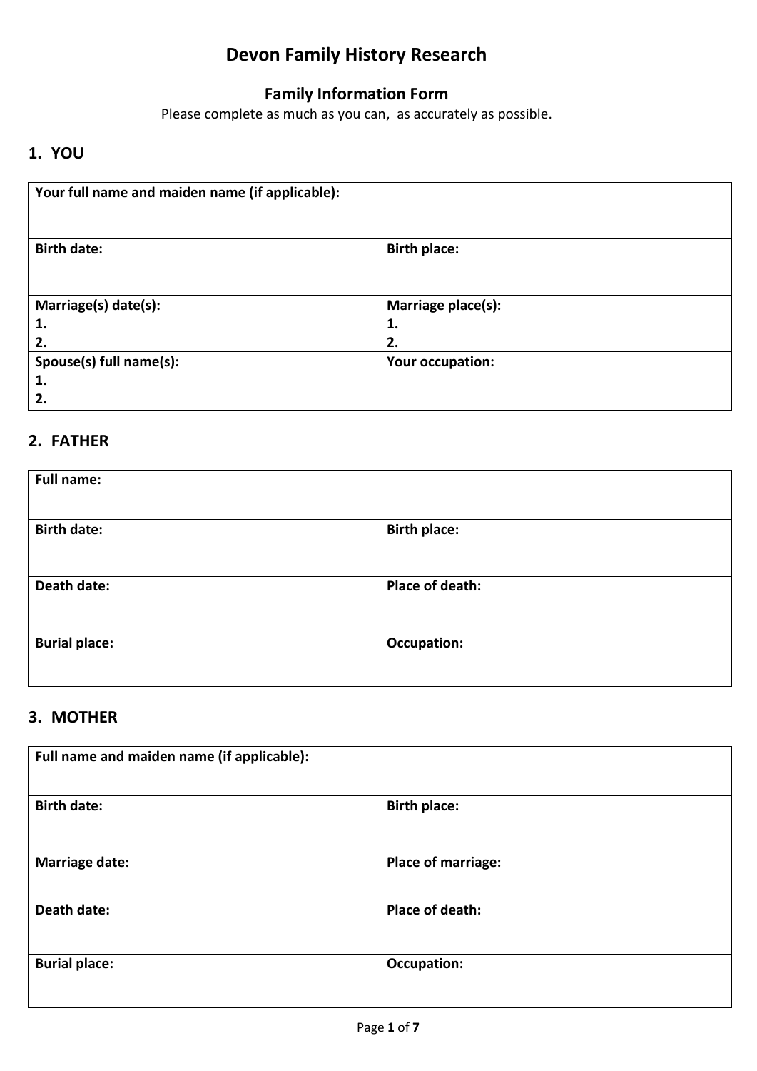# **Devon Family History Research**

# **Family Information Form**

Please complete as much as you can, as accurately as possible.

# **1. YOU**

| Your full name and maiden name (if applicable): |                                |  |
|-------------------------------------------------|--------------------------------|--|
| <b>Birth date:</b>                              | <b>Birth place:</b>            |  |
| Marriage(s) date(s):<br>1.<br>2.                | Marriage place(s):<br>1.<br>2. |  |
| Spouse(s) full name(s):<br>1.<br>2.             | Your occupation:               |  |

# **2. FATHER**

| <b>Full name:</b>    |                     |  |
|----------------------|---------------------|--|
| <b>Birth date:</b>   | <b>Birth place:</b> |  |
| Death date:          | Place of death:     |  |
| <b>Burial place:</b> | <b>Occupation:</b>  |  |

## **3. MOTHER**

| Full name and maiden name (if applicable): |                           |  |
|--------------------------------------------|---------------------------|--|
| <b>Birth date:</b>                         | <b>Birth place:</b>       |  |
| <b>Marriage date:</b>                      | <b>Place of marriage:</b> |  |
| Death date:                                | Place of death:           |  |
| <b>Burial place:</b>                       | Occupation:               |  |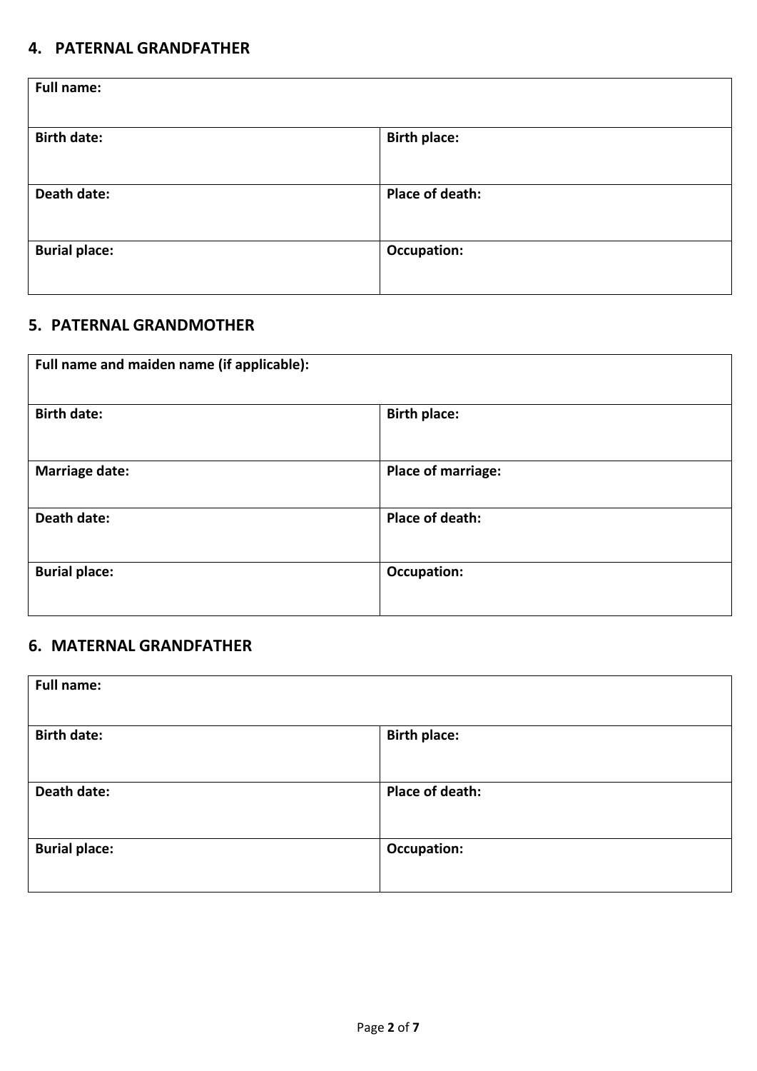### **4. PATERNAL GRANDFATHER**

| <b>Full name:</b>    |                     |
|----------------------|---------------------|
| <b>Birth date:</b>   | <b>Birth place:</b> |
| Death date:          | Place of death:     |
| <b>Burial place:</b> | <b>Occupation:</b>  |

# **5. PATERNAL GRANDMOTHER**

| Full name and maiden name (if applicable): |                           |
|--------------------------------------------|---------------------------|
| <b>Birth date:</b>                         | <b>Birth place:</b>       |
| <b>Marriage date:</b>                      | <b>Place of marriage:</b> |
| Death date:                                | Place of death:           |
| <b>Burial place:</b>                       | <b>Occupation:</b>        |

### **6. MATERNAL GRANDFATHER**

| <b>Full name:</b>    |                     |
|----------------------|---------------------|
| <b>Birth date:</b>   | <b>Birth place:</b> |
| Death date:          | Place of death:     |
| <b>Burial place:</b> | <b>Occupation:</b>  |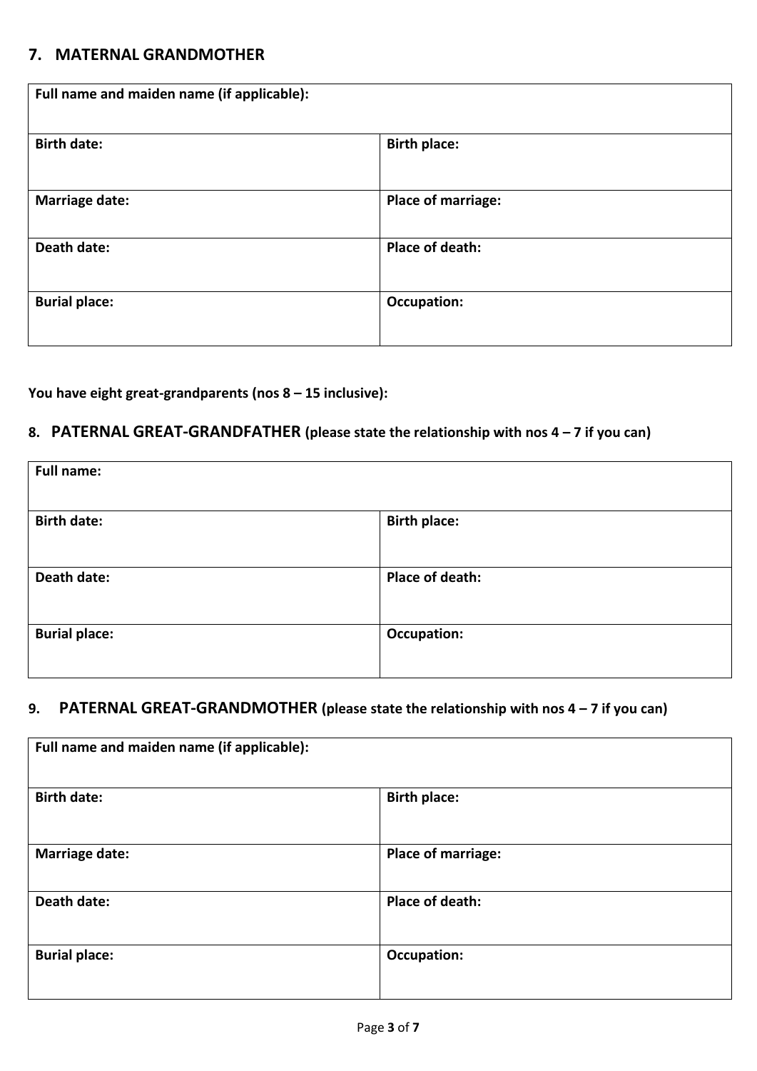#### **7. MATERNAL GRANDMOTHER**

| Full name and maiden name (if applicable): |                     |
|--------------------------------------------|---------------------|
| <b>Birth date:</b>                         | <b>Birth place:</b> |
| <b>Marriage date:</b>                      | Place of marriage:  |
| Death date:                                | Place of death:     |
| <b>Burial place:</b>                       | <b>Occupation:</b>  |

#### **You have eight great-grandparents (nos 8 – 15 inclusive):**

### **8. PATERNAL GREAT-GRANDFATHER (please state the relationship with nos 4 – 7 if you can)**

| <b>Full name:</b>    |                     |
|----------------------|---------------------|
| <b>Birth date:</b>   | <b>Birth place:</b> |
| Death date:          | Place of death:     |
| <b>Burial place:</b> | <b>Occupation:</b>  |

### **9. PATERNAL GREAT-GRANDMOTHER (please state the relationship with nos 4 – 7 if you can)**

| Full name and maiden name (if applicable): |                           |  |
|--------------------------------------------|---------------------------|--|
| <b>Birth date:</b>                         | <b>Birth place:</b>       |  |
| <b>Marriage date:</b>                      | <b>Place of marriage:</b> |  |
| Death date:                                | Place of death:           |  |
| <b>Burial place:</b>                       | Occupation:               |  |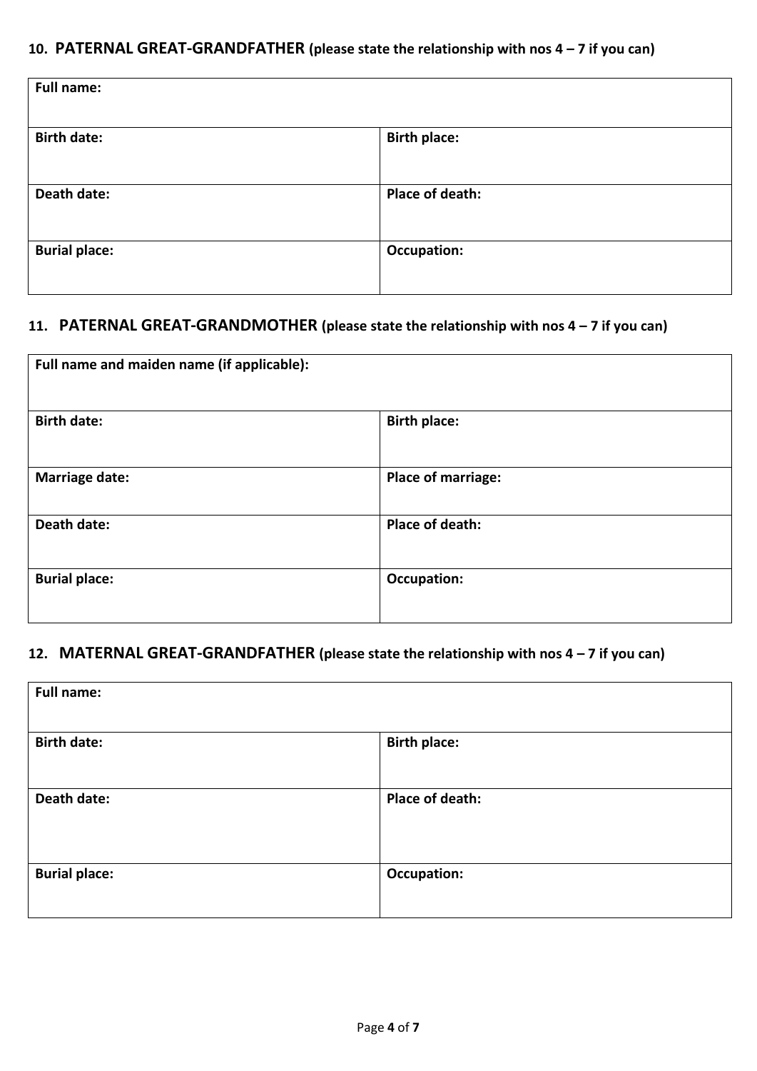### **10. PATERNAL GREAT-GRANDFATHER (please state the relationship with nos 4 – 7 if you can)**

| <b>Full name:</b>    |                     |  |
|----------------------|---------------------|--|
| <b>Birth date:</b>   | <b>Birth place:</b> |  |
| Death date:          | Place of death:     |  |
| <b>Burial place:</b> | <b>Occupation:</b>  |  |
|                      |                     |  |

#### **11. PATERNAL GREAT-GRANDMOTHER (please state the relationship with nos 4 – 7 if you can)**

| Full name and maiden name (if applicable): |                     |
|--------------------------------------------|---------------------|
| <b>Birth date:</b>                         | <b>Birth place:</b> |
| <b>Marriage date:</b>                      | Place of marriage:  |
| Death date:                                | Place of death:     |
| <b>Burial place:</b>                       | <b>Occupation:</b>  |

### **12. MATERNAL GREAT-GRANDFATHER (please state the relationship with nos 4 – 7 if you can)**

| <b>Full name:</b>    |                     |  |
|----------------------|---------------------|--|
| <b>Birth date:</b>   | <b>Birth place:</b> |  |
| Death date:          | Place of death:     |  |
| <b>Burial place:</b> | <b>Occupation:</b>  |  |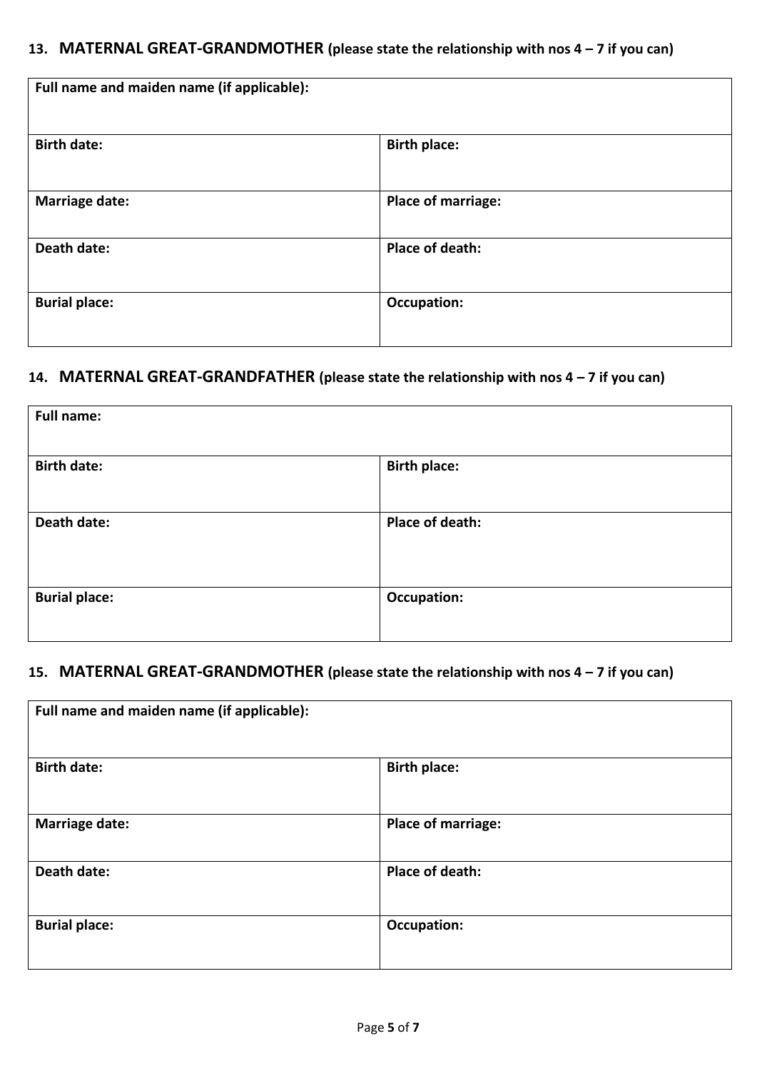### **13. MATERNAL GREAT-GRANDMOTHER (please state the relationship with nos 4 – 7 if you can)**

| Full name and maiden name (if applicable): |                           |  |
|--------------------------------------------|---------------------------|--|
| <b>Birth date:</b>                         | <b>Birth place:</b>       |  |
| <b>Marriage date:</b>                      | <b>Place of marriage:</b> |  |
| Death date:                                | Place of death:           |  |
| <b>Burial place:</b>                       | <b>Occupation:</b>        |  |

### **14. MATERNAL GREAT-GRANDFATHER (please state the relationship with nos 4 – 7 if you can)**

| <b>Full name:</b>    |                     |
|----------------------|---------------------|
| <b>Birth date:</b>   | <b>Birth place:</b> |
| Death date:          | Place of death:     |
| <b>Burial place:</b> | <b>Occupation:</b>  |

### **15. MATERNAL GREAT-GRANDMOTHER (please state the relationship with nos 4 – 7 if you can)**

| Full name and maiden name (if applicable): |                           |  |
|--------------------------------------------|---------------------------|--|
| <b>Birth date:</b>                         | <b>Birth place:</b>       |  |
| <b>Marriage date:</b>                      | <b>Place of marriage:</b> |  |
| Death date:                                | Place of death:           |  |
| <b>Burial place:</b>                       | Occupation:               |  |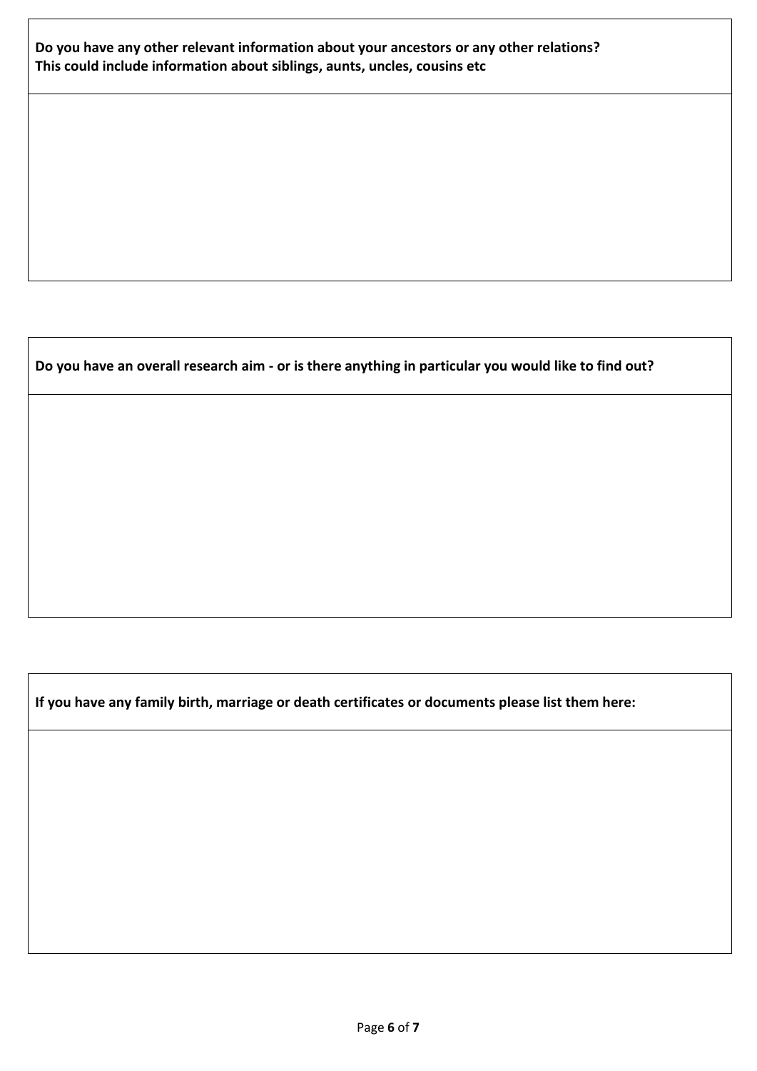#### **Do you have any other relevant information about your ancestors or any other relations? This could include information about siblings, aunts, uncles, cousins etc**

#### **Do you have an overall research aim - or is there anything in particular you would like to find out?**

**If you have any family birth, marriage or death certificates or documents please list them here:**